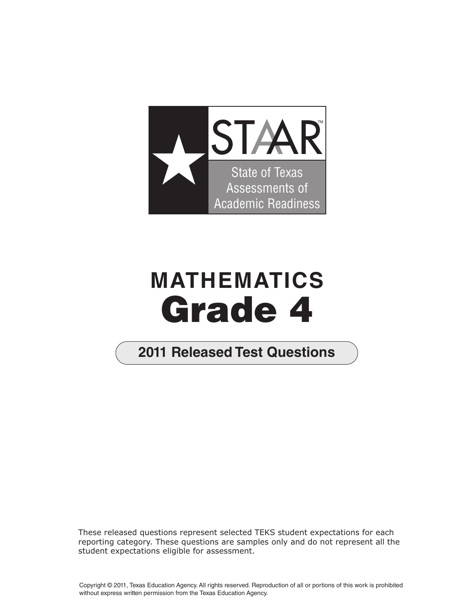

## **MATHEMATICS Grade 4**

## **2011 Released Test Questions**

These released questions represent selected TEKS student expectations for each reporting category. These questions are samples only and do not represent all the student expectations eligible for assessment.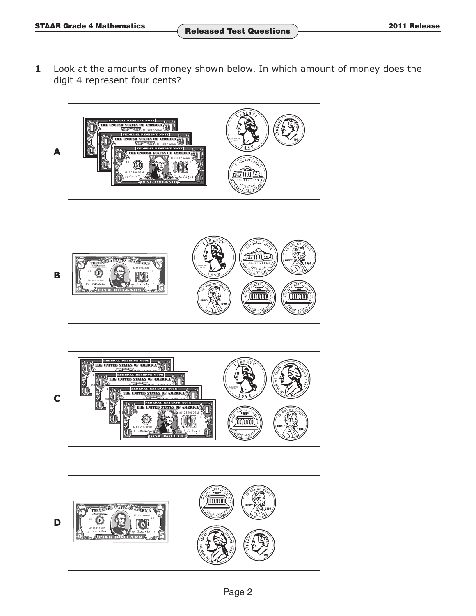**1** Look at the amounts of money shown below. In which amount of money does the digit 4 represent four cents?







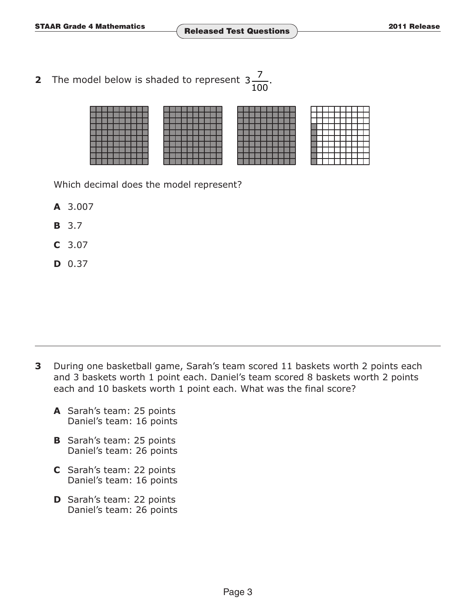**AAR Grade 4 Mathematics Released Test Questions**  2011 Release

**2** The model below is shaded to represent  $3\frac{7}{100}$ . 100

Which decimal does the model represent?

- **A** 3.007
- **B** 3.7
- **C** 3.07
- **D** 0.37

- **3** During one basketball game, Sarah's team scored 11 baskets worth 2 points each and 3 baskets worth 1 point each. Daniel's team scored 8 baskets worth 2 points each and 10 baskets worth 1 point each. What was the final score?
	- **A** Sarah's team: 25 points Daniel's team: 16 points
	- **B** Sarah's team: 25 points Daniel's team: 26 points
	- **C** Sarah's team: 22 points Daniel's team: 16 points
	- **D** Sarah's team: 22 points Daniel's team: 26 points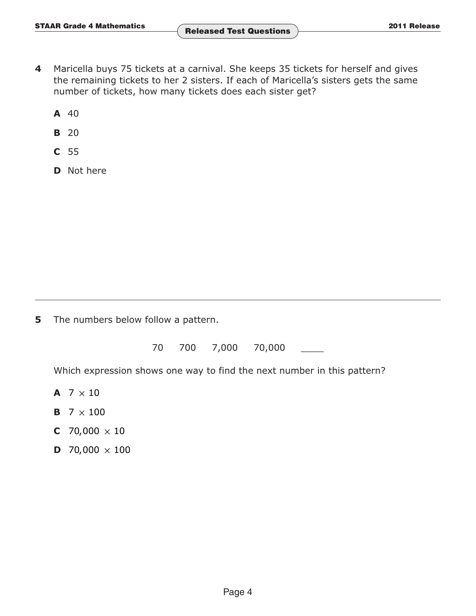- **4** Maricella buys 75 tickets at a carnival. She keeps 35 tickets for herself and gives the remaining tickets to her 2 sisters. If each of Maricella's sisters gets the same number of tickets, how many tickets does each sister get?
	- **A** 40
	- **B** 20
	- **C** 55
	- **D** Not here

**5** The numbers below follow a pattern.

70 700 7,000 70,000

Which expression shows one way to find the next number in this pattern?

- **A**  $7 \times 10$
- **B**  $7 \times 100$
- **C** 70,000  $\times$  10
- **D** 70,000  $\times$  100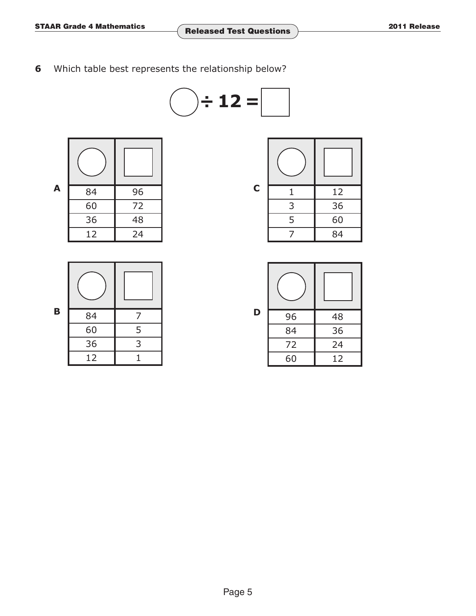Which table best represents the relationship below?



| A | 84 | 96 | $\mathbf C$ | 12 |
|---|----|----|-------------|----|
|   | 60 | 72 |             | 36 |
|   | 36 | 48 |             | 60 |
|   | 12 | 24 |             | 84 |

| B | 84 | 7 |
|---|----|---|
|   | 60 | 5 |
|   | 36 | 3 |
|   | 12 |   |

| C | 1 | 12 |
|---|---|----|
|   | 3 | 36 |
|   | 5 | 60 |
|   |   | 84 |

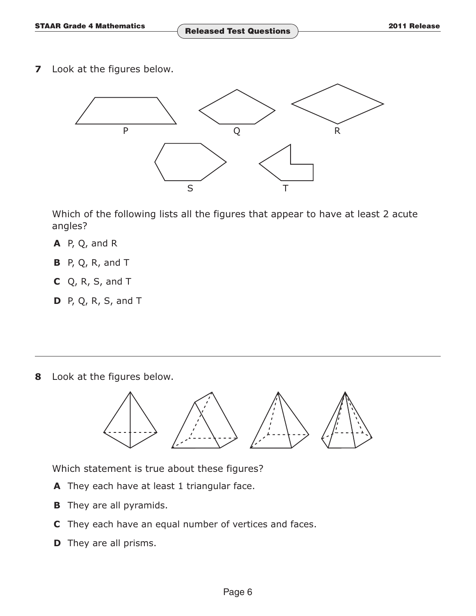**7** Look at the figures below.



 Which of the following lists all the figures that appear to have at least 2 acute angles?

- **A** P, Q, and R
- **B** P, Q, R, and T
- **C** Q, R, S, and T
- **D** P, Q, R, S, and T

**8** Look at the figures below.



Which statement is true about these figures?

- **A** They each have at least 1 triangular face.
- **B** They are all pyramids.
- **C** They each have an equal number of vertices and faces.
- **D** They are all prisms.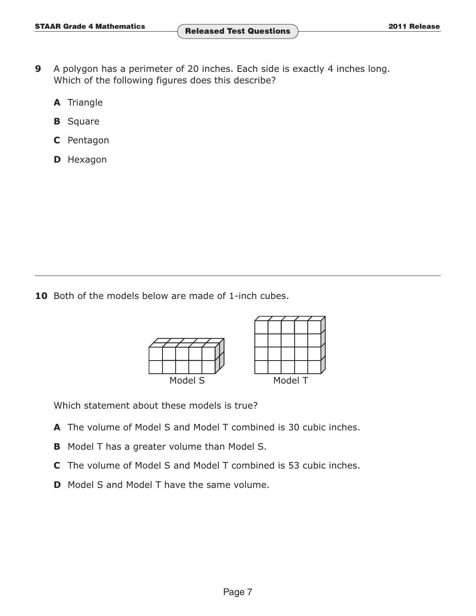- **9** A polygon has a perimeter of 20 inches. Each side is exactly 4 inches long. Which of the following figures does this describe?
	- **A** Triangle
	- **B** Square
	- **C** Pentagon
	- **D** Hexagon

10 Both of the models below are made of 1-inch cubes.



Which statement about these models is true?

- **A** The volume of Model S and Model T combined is 30 cubic inches.
- **B** Model T has a greater volume than Model S.
- **C** The volume of Model S and Model T combined is 53 cubic inches.
- **D** Model S and Model T have the same volume.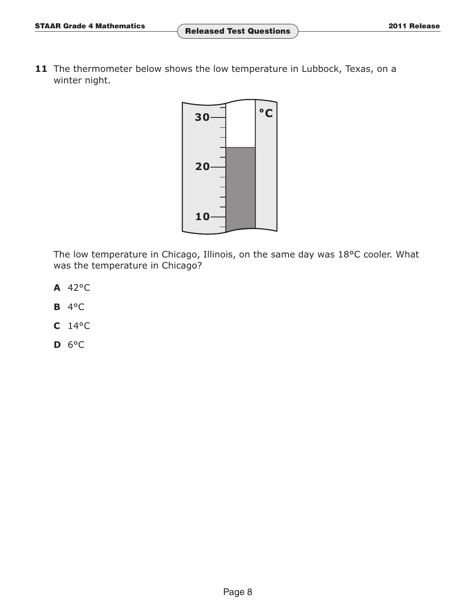11 The thermometer below shows the low temperature in Lubbock, Texas, on a winter night.



The low temperature in Chicago, Illinois, on the same day was 18°C cooler. What was the temperature in Chicago?

- **A** 42°C
- **B** 4°C
- **C** 14°C
- **D** 6°C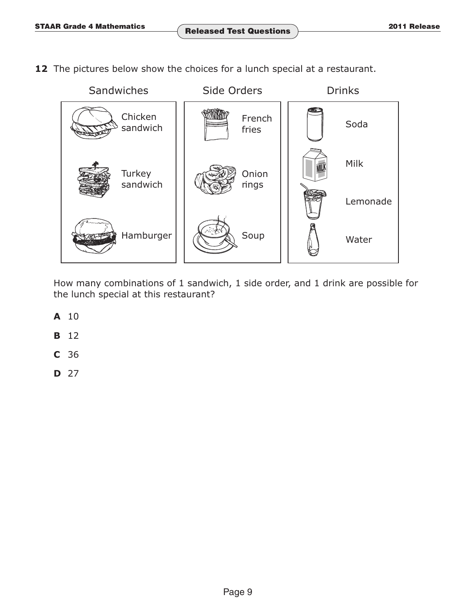**12** The pictures below show the choices for a lunch special at a restaurant.



How many combinations of 1 sandwich, 1 side order, and 1 drink are possible for the lunch special at this restaurant?

- **A** 10
- **B** 12
- **C** 36
- **D** 27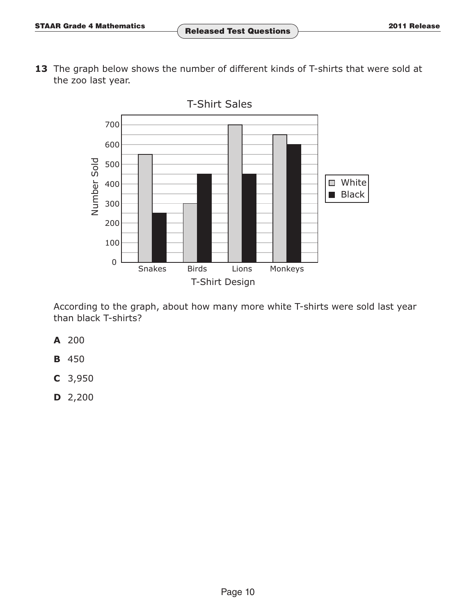13 The graph below shows the number of different kinds of T-shirts that were sold at the zoo last year.



According to the graph, about how many more white T-shirts were sold last year than black T-shirts?

- **A** 200
- **B** 450
- **C** 3,950
- **D** 2,200